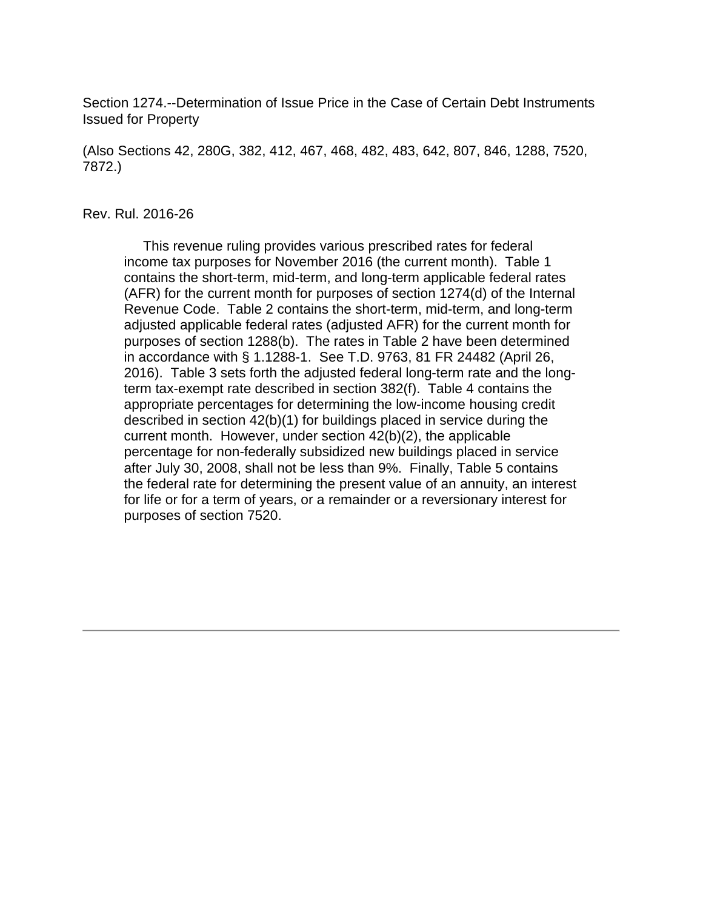Section 1274.--Determination of Issue Price in the Case of Certain Debt Instruments Issued for Property

(Also Sections 42, 280G, 382, 412, 467, 468, 482, 483, 642, 807, 846, 1288, 7520, 7872.)

#### Rev. Rul. 2016-26

 This revenue ruling provides various prescribed rates for federal income tax purposes for November 2016 (the current month). Table 1 contains the short-term, mid-term, and long-term applicable federal rates (AFR) for the current month for purposes of section 1274(d) of the Internal Revenue Code. Table 2 contains the short-term, mid-term, and long-term adjusted applicable federal rates (adjusted AFR) for the current month for purposes of section 1288(b). The rates in Table 2 have been determined in accordance with § 1.1288-1. See T.D. 9763, 81 FR 24482 (April 26, 2016). Table 3 sets forth the adjusted federal long-term rate and the longterm tax-exempt rate described in section 382(f). Table 4 contains the appropriate percentages for determining the low-income housing credit described in section 42(b)(1) for buildings placed in service during the current month. However, under section 42(b)(2), the applicable percentage for non-federally subsidized new buildings placed in service after July 30, 2008, shall not be less than 9%. Finally, Table 5 contains the federal rate for determining the present value of an annuity, an interest for life or for a term of years, or a remainder or a reversionary interest for purposes of section 7520.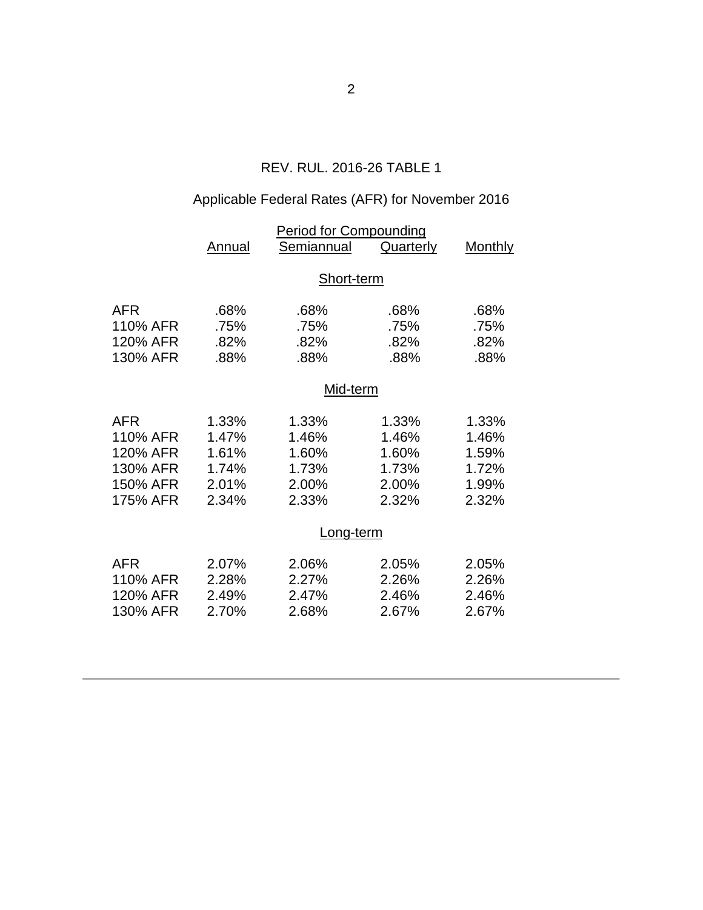# REV. RUL. 2016-26 TABLE 1

# Applicable Federal Rates (AFR) for November 2016

|            | <b>Period for Compounding</b> |            |           |                |  |  |
|------------|-------------------------------|------------|-----------|----------------|--|--|
|            | Annual                        | Semiannual | Quarterly | <b>Monthly</b> |  |  |
|            |                               |            |           |                |  |  |
|            | Short-term                    |            |           |                |  |  |
| <b>AFR</b> | .68%                          | .68%       | .68%      | .68%           |  |  |
| 110% AFR   | .75%                          | .75%       | .75%      | .75%           |  |  |
| 120% AFR   | .82%                          | .82%       | .82%      | .82%           |  |  |
| 130% AFR   | .88%                          | .88%       | .88%      | .88%           |  |  |
|            | Mid-term                      |            |           |                |  |  |
| <b>AFR</b> | 1.33%                         | 1.33%      | 1.33%     | 1.33%          |  |  |
| 110% AFR   | 1.47%                         | 1.46%      | 1.46%     | 1.46%          |  |  |
| 120% AFR   | 1.61%                         | 1.60%      | 1.60%     | 1.59%          |  |  |
| 130% AFR   | 1.74%                         | 1.73%      | 1.73%     | 1.72%          |  |  |
| 150% AFR   | 2.01%                         | 2.00%      | 2.00%     | 1.99%          |  |  |
| 175% AFR   | 2.34%                         | 2.33%      | 2.32%     | 2.32%          |  |  |
|            | Long-term                     |            |           |                |  |  |
|            |                               |            |           |                |  |  |
| <b>AFR</b> | 2.07%                         | 2.06%      | 2.05%     | 2.05%          |  |  |
| 110% AFR   | 2.28%                         | 2.27%      | 2.26%     | 2.26%          |  |  |
| 120% AFR   | 2.49%                         | 2.47%      | 2.46%     | 2.46%          |  |  |
| 130% AFR   | 2.70%                         | 2.68%      | 2.67%     | 2.67%          |  |  |
|            |                               |            |           |                |  |  |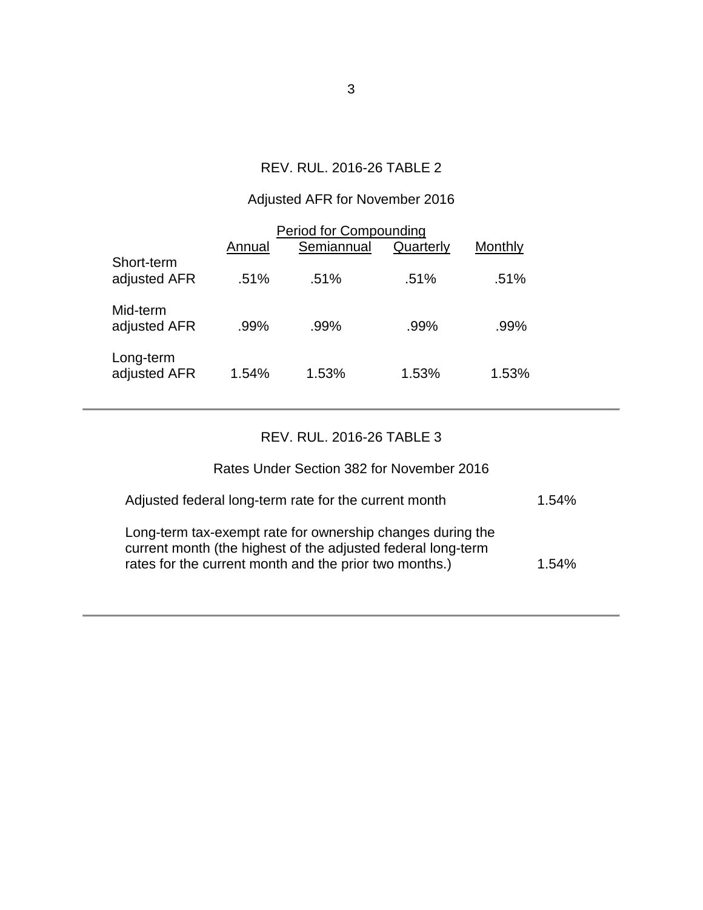### REV. RUL. 2016-26 TABLE 2

# Adjusted AFR for November 2016

| <b>Period for Compounding</b> |        |            |           |         |  |  |
|-------------------------------|--------|------------|-----------|---------|--|--|
|                               | Annual | Semiannual | Quarterly | Monthly |  |  |
| Short-term<br>adjusted AFR    | .51%   | .51%       | .51%      | .51%    |  |  |
| Mid-term<br>adjusted AFR      | .99%   | .99%       | .99%      | .99%    |  |  |
| Long-term<br>adjusted AFR     | 1.54%  | 1.53%      | 1.53%     | 1.53%   |  |  |

### REV. RUL. 2016-26 TABLE 3

## Rates Under Section 382 for November 2016

| Adjusted federal long-term rate for the current month                                                                                                                                | 1.54% |
|--------------------------------------------------------------------------------------------------------------------------------------------------------------------------------------|-------|
| Long-term tax-exempt rate for ownership changes during the<br>current month (the highest of the adjusted federal long-term<br>rates for the current month and the prior two months.) | 1.54% |